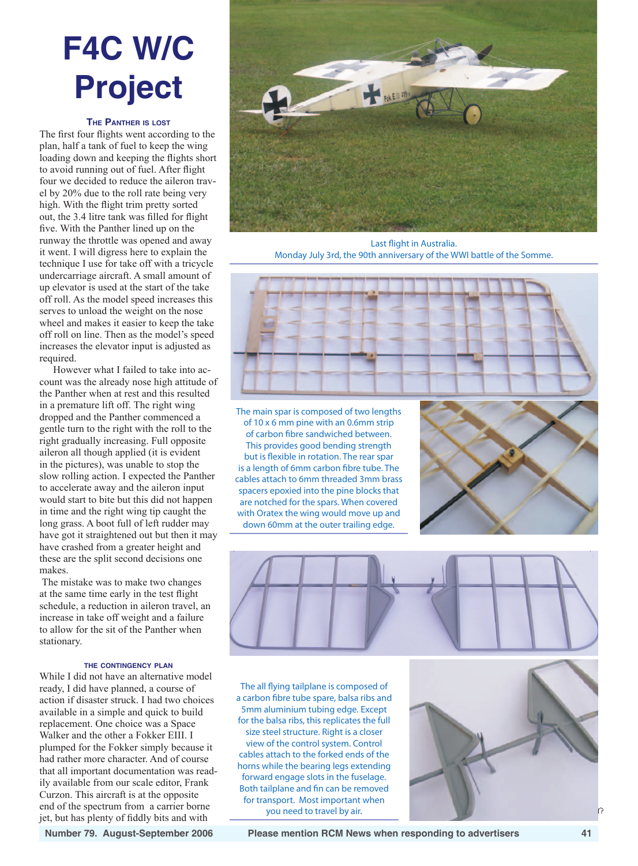# **F4C W/C Project**

## **The Panther is lost**

The first four flights went according to the plan, half a tank of fuel to keep the wing loading down and keeping the flights short to avoid running out of fuel. After flight four we decided to reduce the aileron travel by 20% due to the roll rate being very high. With the flight trim pretty sorted out, the 3.4 litre tank was filled for flight five. With the Panther lined up on the runway the throttle was opened and away it went. I will digress here to explain the technique I use for take off with a tricycle undercarriage aircraft. A small amount of up elevator is used at the start of the take off roll. As the model speed increases this serves to unload the weight on the nose wheel and makes it easier to keep the take off roll on line. Then as the model's speed increases the elevator input is adjusted as required.

However what I failed to take into account was the already nose high attitude of the Panther when at rest and this resulted in a premature lift off. The right wing dropped and the Panther commenced a gentle turn to the right with the roll to the right gradually increasing. Full opposite aileron all though applied (it is evident in the pictures), was unable to stop the slow rolling action. I expected the Panther to accelerate away and the aileron input would start to bite but this did not happen in time and the right wing tip caught the long grass. A boot full of left rudder may have got it straightened out but then it may have crashed from a greater height and these are the split second decisions one makes.

 The mistake was to make two changes at the same time early in the test flight schedule, a reduction in aileron travel, an increase in take off weight and a failure to allow for the sit of the Panther when stationary.

### **the contingency plan**

While I did not have an alternative model ready, I did have planned, a course of action if disaster struck. I had two choices available in a simple and quick to build replacement. One choice was a Space Walker and the other a Fokker EIII. I plumped for the Fokker simply because it had rather more character. And of course that all important documentation was readily available from our scale editor, Frank Curzon. This aircraft is at the opposite end of the spectrum from a carrier borne jet, but has plenty of fiddly bits and with



Last flight in Australia. Monday July 3rd, the 90th anniversary of the WWI battle of the Somme.



The main spar is composed of two lengths of 10 x 6 mm pine with an 0.6mm strip of carbon fibre sandwiched between. This provides good bending strength but is flexible in rotation. The rear spar is a length of 6mm carbon fibre tube. The cables attach to 6mm threaded 3mm brass spacers epoxied into the pine blocks that are notched for the spars. When covered with Oratex the wing would move up and down 60mm at the outer trailing edge.





The all flying tailplane is composed of a carbon fibre tube spare, balsa ribs and 5mm aluminium tubing edge. Except for the balsa ribs, this replicates the full size steel structure. Right is a closer view of the control system. Control cables attach to the forked ends of the horns while the bearing legs extending forward engage slots in the fuselage. Both tailplane and fin can be removed for transport. Most important when you need to travel by air.

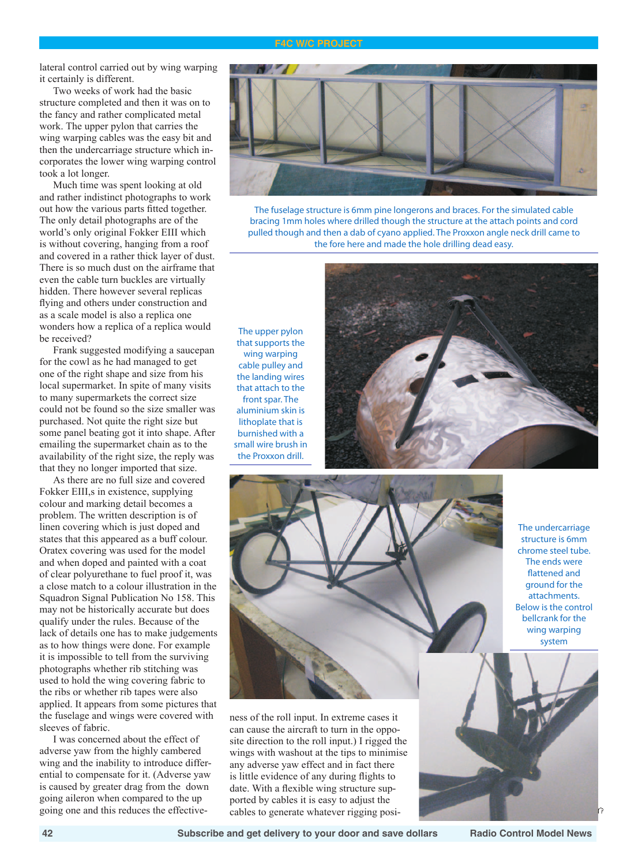#### **F4C W/C Project**

lateral control carried out by wing warping it certainly is different.

Two weeks of work had the basic structure completed and then it was on to the fancy and rather complicated metal work. The upper pylon that carries the wing warping cables was the easy bit and then the undercarriage structure which incorporates the lower wing warping control took a lot longer.

Much time was spent looking at old and rather indistinct photographs to work out how the various parts fitted together. The only detail photographs are of the world's only original Fokker EIII which is without covering, hanging from a roof and covered in a rather thick layer of dust. There is so much dust on the airframe that even the cable turn buckles are virtually hidden. There however several replicas flying and others under construction and as a scale model is also a replica one wonders how a replica of a replica would be received?

Frank suggested modifying a saucepan for the cowl as he had managed to get one of the right shape and size from his local supermarket. In spite of many visits to many supermarkets the correct size could not be found so the size smaller was purchased. Not quite the right size but some panel beating got it into shape. After emailing the supermarket chain as to the availability of the right size, the reply was that they no longer imported that size.

As there are no full size and covered Fokker EIII,s in existence, supplying colour and marking detail becomes a problem. The written description is of linen covering which is just doped and states that this appeared as a buff colour. Oratex covering was used for the model and when doped and painted with a coat of clear polyurethane to fuel proof it, was a close match to a colour illustration in the Squadron Signal Publication No 158. This may not be historically accurate but does qualify under the rules. Because of the lack of details one has to make judgements as to how things were done. For example it is impossible to tell from the surviving photographs whether rib stitching was used to hold the wing covering fabric to the ribs or whether rib tapes were also applied. It appears from some pictures that the fuselage and wings were covered with sleeves of fabric.

I was concerned about the effect of adverse yaw from the highly cambered wing and the inability to introduce differential to compensate for it. (Adverse yaw is caused by greater drag from the down going aileron when compared to the up going one and this reduces the effective-



The fuselage structure is 6mm pine longerons and braces. For the simulated cable bracing 1mm holes where drilled though the structure at the attach points and cord pulled though and then a dab of cyano applied. The Proxxon angle neck drill came to the fore here and made the hole drilling dead easy.

The upper pylon that supports the wing warping cable pulley and the landing wires that attach to the front spar. The aluminium skin is lithoplate that is burnished with a small wire brush in the Proxxon drill.





The undercarriage structure is 6mm chrome steel tube. The ends were flattened and ground for the attachments. Below is the control bellcrank for the wing warping system

ness of the roll input. In extreme cases it can cause the aircraft to turn in the opposite direction to the roll input.) I rigged the wings with washout at the tips to minimise any adverse yaw effect and in fact there is little evidence of any during flights to date. With a flexible wing structure supported by cables it is easy to adjust the cables to generate whatever rigging posi-



 **42 Subscribe and get delivery to your door and save dollars Radio Control Model News**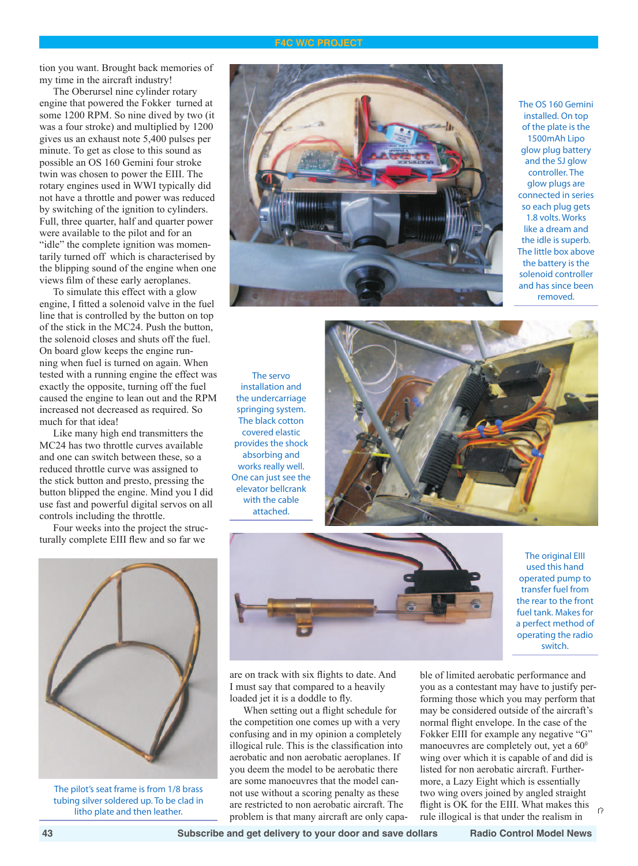#### **F4C W/C Project**

tion you want. Brought back memories of my time in the aircraft industry!

The Oberursel nine cylinder rotary engine that powered the Fokker turned at some 1200 RPM. So nine dived by two (it was a four stroke) and multiplied by 1200 gives us an exhaust note 5,400 pulses per minute. To get as close to this sound as possible an OS 160 Gemini four stroke twin was chosen to power the EIII. The rotary engines used in WWI typically did not have a throttle and power was reduced by switching of the ignition to cylinders. Full, three quarter, half and quarter power were available to the pilot and for an "idle" the complete ignition was momentarily turned off which is characterised by the blipping sound of the engine when one views film of these early aeroplanes.

To simulate this effect with a glow engine, I fitted a solenoid valve in the fuel line that is controlled by the button on top of the stick in the MC24. Push the button, the solenoid closes and shuts off the fuel. On board glow keeps the engine running when fuel is turned on again. When tested with a running engine the effect was exactly the opposite, turning off the fuel caused the engine to lean out and the RPM increased not decreased as required. So much for that idea!

Like many high end transmitters the MC24 has two throttle curves available and one can switch between these, so a reduced throttle curve was assigned to the stick button and presto, pressing the button blipped the engine. Mind you I did use fast and powerful digital servos on all controls including the throttle.

Four weeks into the project the structurally complete EIII flew and so far we



The pilot's seat frame is from 1/8 brass tubing silver soldered up. To be clad in litho plate and then leather.



The OS 160 Gemini installed. On top of the plate is the 1500mAh Lipo glow plug battery and the SJ glow controller. The glow plugs are connected in series so each plug gets 1.8 volts. Works like a dream and the idle is superb. The little box above the battery is the solenoid controller and has since been removed.

The servo installation and the undercarriage springing system. The black cotton covered elastic provides the shock absorbing and works really well. One can just see the elevator bellcrank with the cable attached.





The original EIII used this hand operated pump to transfer fuel from the rear to the front fuel tank. Makes for a perfect method of operating the radio switch.

are on track with six flights to date. And I must say that compared to a heavily loaded jet it is a doddle to fly.

When setting out a flight schedule for the competition one comes up with a very confusing and in my opinion a completely illogical rule. This is the classification into aerobatic and non aerobatic aeroplanes. If you deem the model to be aerobatic there are some manoeuvres that the model cannot use without a scoring penalty as these are restricted to non aerobatic aircraft. The problem is that many aircraft are only capable of limited aerobatic performance and you as a contestant may have to justify performing those which you may perform that may be considered outside of the aircraft's normal flight envelope. In the case of the Fokker EIII for example any negative "G" manoeuvres are completely out, yet a  $60^{\circ}$ wing over which it is capable of and did is listed for non aerobatic aircraft. Furthermore, a Lazy Eight which is essentially two wing overs joined by angled straight flight is OK for the EIII. What makes this Ŕ rule illogical is that under the realism in

 **43 Subscribe and get delivery to your door and save dollars Radio Control Model News**